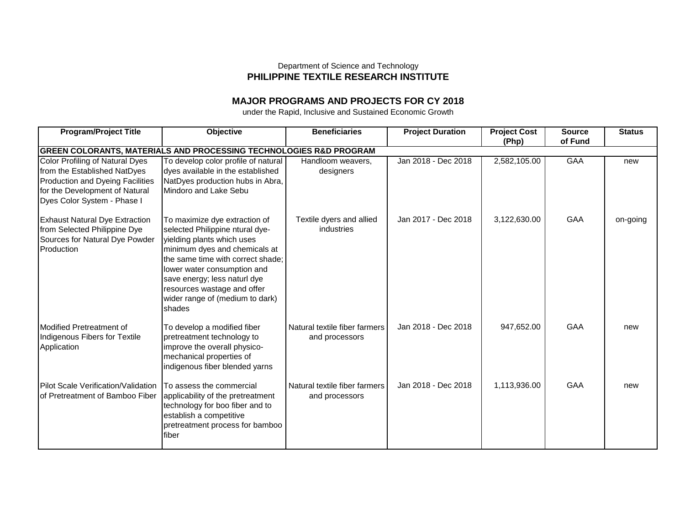## Department of Science and Technology **PHILIPPINE TEXTILE RESEARCH INSTITUTE**

## **MAJOR PROGRAMS AND PROJECTS FOR CY 2018**

under the Rapid, Inclusive and Sustained Economic Growth

| <b>Program/Project Title</b>                                                  | Objective                           | <b>Beneficiaries</b>          | <b>Project Duration</b> | <b>Project Cost</b> | <b>Source</b> | <b>Status</b> |  |  |
|-------------------------------------------------------------------------------|-------------------------------------|-------------------------------|-------------------------|---------------------|---------------|---------------|--|--|
|                                                                               |                                     |                               |                         | (Php)               | of Fund       |               |  |  |
| <b>GREEN COLORANTS, MATERIALS AND PROCESSING TECHNOLOGIES R&amp;D PROGRAM</b> |                                     |                               |                         |                     |               |               |  |  |
| Color Profiling of Natural Dyes                                               | To develop color profile of natural | Handloom weavers,             | Jan 2018 - Dec 2018     | 2,582,105.00        | GAA           | new           |  |  |
| from the Established NatDyes                                                  | dyes available in the established   | designers                     |                         |                     |               |               |  |  |
| <b>Production and Dyeing Facilities</b>                                       | NatDyes production hubs in Abra,    |                               |                         |                     |               |               |  |  |
| for the Development of Natural                                                | Mindoro and Lake Sebu               |                               |                         |                     |               |               |  |  |
| Dyes Color System - Phase I                                                   |                                     |                               |                         |                     |               |               |  |  |
| <b>Exhaust Natural Dye Extraction</b>                                         | To maximize dye extraction of       | Textile dyers and allied      | Jan 2017 - Dec 2018     | 3,122,630.00        | GAA           | on-going      |  |  |
| from Selected Philippine Dye                                                  | selected Philippine ntural dye-     | industries                    |                         |                     |               |               |  |  |
| Sources for Natural Dye Powder                                                | yielding plants which uses          |                               |                         |                     |               |               |  |  |
| Production                                                                    | minimum dyes and chemicals at       |                               |                         |                     |               |               |  |  |
|                                                                               | the same time with correct shade:   |                               |                         |                     |               |               |  |  |
|                                                                               | lower water consumption and         |                               |                         |                     |               |               |  |  |
|                                                                               | save energy; less naturl dye        |                               |                         |                     |               |               |  |  |
|                                                                               | resources wastage and offer         |                               |                         |                     |               |               |  |  |
|                                                                               | wider range of (medium to dark)     |                               |                         |                     |               |               |  |  |
|                                                                               | shades                              |                               |                         |                     |               |               |  |  |
| Modified Pretreatment of                                                      | To develop a modified fiber         | Natural textile fiber farmers | Jan 2018 - Dec 2018     | 947,652.00          | GAA           | new           |  |  |
| Indigenous Fibers for Textile                                                 | pretreatment technology to          | and processors                |                         |                     |               |               |  |  |
| Application                                                                   | improve the overall physico-        |                               |                         |                     |               |               |  |  |
|                                                                               | mechanical properties of            |                               |                         |                     |               |               |  |  |
|                                                                               | indigenous fiber blended yarns      |                               |                         |                     |               |               |  |  |
|                                                                               |                                     |                               |                         |                     |               |               |  |  |
| <b>Pilot Scale Verification/Validation</b>                                    | To assess the commercial            | Natural textile fiber farmers | Jan 2018 - Dec 2018     | 1,113,936.00        | GAA           | new           |  |  |
| of Pretreatment of Bamboo Fiber                                               | applicability of the pretreatment   | and processors                |                         |                     |               |               |  |  |
|                                                                               | technology for boo fiber and to     |                               |                         |                     |               |               |  |  |
|                                                                               | establish a competitive             |                               |                         |                     |               |               |  |  |
|                                                                               | pretreatment process for bamboo     |                               |                         |                     |               |               |  |  |
|                                                                               | fiber                               |                               |                         |                     |               |               |  |  |
|                                                                               |                                     |                               |                         |                     |               |               |  |  |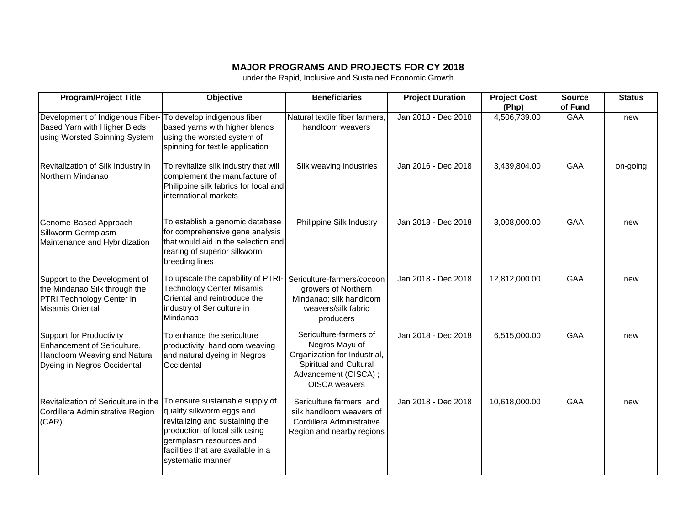## **MAJOR PROGRAMS AND PROJECTS FOR CY 2018**

under the Rapid, Inclusive and Sustained Economic Growth

| <b>Program/Project Title</b>                                                                                                  | <b>Objective</b>                                                                                                                                                                                                        | <b>Beneficiaries</b>                                                                                                                        | <b>Project Duration</b> | <b>Project Cost</b><br>(Php) | <b>Source</b><br>of Fund | <b>Status</b> |
|-------------------------------------------------------------------------------------------------------------------------------|-------------------------------------------------------------------------------------------------------------------------------------------------------------------------------------------------------------------------|---------------------------------------------------------------------------------------------------------------------------------------------|-------------------------|------------------------------|--------------------------|---------------|
| Development of Indigenous Fiber-<br>Based Yarn with Higher Bleds<br>using Worsted Spinning System                             | To develop indigenous fiber<br>based yarns with higher blends<br>using the worsted system of<br>spinning for textile application                                                                                        | Natural textile fiber farmers.<br>handloom weavers                                                                                          | Jan 2018 - Dec 2018     | 4,506,739.00                 | <b>GAA</b>               | new           |
| Revitalization of Silk Industry in<br>Northern Mindanao                                                                       | To revitalize silk industry that will<br>complement the manufacture of<br>Philippine silk fabrics for local and<br>international markets                                                                                | Silk weaving industries                                                                                                                     | Jan 2016 - Dec 2018     | 3,439,804.00                 | GAA                      | on-going      |
| Genome-Based Approach<br>Silkworm Germplasm<br>Maintenance and Hybridization                                                  | To establish a genomic database<br>for comprehensive gene analysis<br>that would aid in the selection and<br>rearing of superior silkworm<br>breeding lines                                                             | Philippine Silk Industry                                                                                                                    | Jan 2018 - Dec 2018     | 3,008,000.00                 | <b>GAA</b>               | new           |
| Support to the Development of<br>the Mindanao Silk through the<br>PTRI Technology Center in<br><b>Misamis Oriental</b>        | To upscale the capability of PTRI-<br><b>Technology Center Misamis</b><br>Oriental and reintroduce the<br>industry of Sericulture in<br>Mindanao                                                                        | Sericulture-farmers/cocoon<br>growers of Northern<br>Mindanao; silk handloom<br>weavers/silk fabric<br>producers                            | Jan 2018 - Dec 2018     | 12,812,000.00                | GAA                      | new           |
| <b>Support for Productivity</b><br>Enhancement of Sericulture,<br>Handloom Weaving and Natural<br>Dyeing in Negros Occidental | To enhance the sericulture<br>productivity, handloom weaving<br>and natural dyeing in Negros<br>Occidental                                                                                                              | Sericulture-farmers of<br>Negros Mayu of<br>Organization for Industrial,<br>Spiritual and Cultural<br>Advancement (OISCA);<br>OISCA weavers | Jan 2018 - Dec 2018     | 6,515,000.00                 | GAA                      | new           |
| Revitalization of Sericulture in the<br>Cordillera Administrative Region<br>(CAR)                                             | To ensure sustainable supply of<br>quality silkworm eggs and<br>revitalizing and sustaining the<br>production of local silk using<br>germplasm resources and<br>facilities that are available in a<br>systematic manner | Sericulture farmers and<br>silk handloom weavers of<br>Cordillera Administrative<br>Region and nearby regions                               | Jan 2018 - Dec 2018     | 10,618,000.00                | GAA                      | new           |